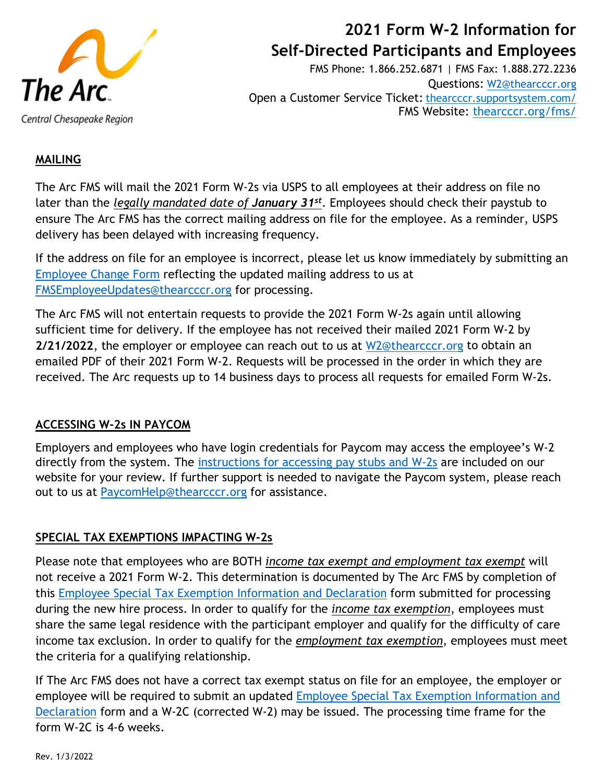

# **2021 Form W-2 Information for Self-Directed Participants and Employees**

FMS Phone: 1.866.252.6871 | FMS Fax: 1.888.272.2236 Questions: [W2@thearcccr.org](mailto:W2@thearcccr.org) Open a Customer Service Ticket: [thearcccr.supportsystem.com/](https://thearcccr.supportsystem.com/) FMS Website: [thearcccr.org/fms/](https://thearcccr.org/fms/)

# **MAILING**

The Arc FMS will mail the 2021 Form W-2s via USPS to all employees at their address on file no later than the *legally mandated date of January 31st*. Employees should check their paystub to ensure The Arc FMS has the correct mailing address on file for the employee. As a reminder, USPS delivery has been delayed with increasing frequency.

If the address on file for an employee is incorrect, please let us know immediately by submitting an [Employee Change Form](https://www.thearcccr.org/wp-content/uploads/2019/07/Employee-Change-Form-Fillable.pdf) reflecting the updated mailing address to us at [FMSEmployeeUpdates@thearcccr.org](mailto:FMSEmployeeUpdates@thearcccr.org) for processing.

The Arc FMS will not entertain requests to provide the 2021 Form W-2s again until allowing sufficient time for delivery. If the employee has not received their mailed 2021 Form W-2 by **2/21/2022**, the employer or employee can reach out to us at [W2@thearcccr.org](mailto:W2@thearcccr.org) to obtain an emailed PDF of their 2021 Form W-2. Requests will be processed in the order in which they are received. The Arc requests up to 14 business days to process all requests for emailed Form W-2s.

## **ACCESSING W-2s IN PAYCOM**

Employers and employees who have login credentials for Paycom may access the employee's W-2 directly from the system. The [instructions for accessing pay stubs and W-2s](https://www.thearcccr.org/wp-content/uploads/2020/08/Paycom-Instructions-Pay-Stubs-W2s.pdf) are included on our website for your review. If further support is needed to navigate the Paycom system, please reach out to us at [PaycomHelp@thearcccr.org](mailto:PaycomHelp@thearcccr.org) for assistance.

## **SPECIAL TAX EXEMPTIONS IMPACTING W-2s**

Please note that employees who are BOTH *income tax exempt and employment tax exempt* will not receive a 2021 Form W-2. This determination is documented by The Arc FMS by completion of this [Employee Special Tax Exemption Information and Declaration](https://www.thearcccr.org/wp-content/uploads/2019/12/Employee-Special-Tax-Exemptions-Info-and-Declaration-Rev.-12.12.19.pdf) form submitted for processing during the new hire process. In order to qualify for the *income tax exemption*, employees must share the same legal residence with the participant employer and qualify for the difficulty of care income tax exclusion. In order to qualify for the *employment tax exemption*, employees must meet the criteria for a qualifying relationship.

If The Arc FMS does not have a correct tax exempt status on file for an employee, the employer or employee will be required to submit an updated [Employee Special Tax Exemption Information and](https://www.thearcccr.org/wp-content/uploads/2019/12/Employee-Special-Tax-Exemptions-Info-and-Declaration-Rev.-12.12.19.pdf)  [Declaration](https://www.thearcccr.org/wp-content/uploads/2019/12/Employee-Special-Tax-Exemptions-Info-and-Declaration-Rev.-12.12.19.pdf) form and a W-2C (corrected W-2) may be issued. The processing time frame for the form W-2C is 4-6 weeks.